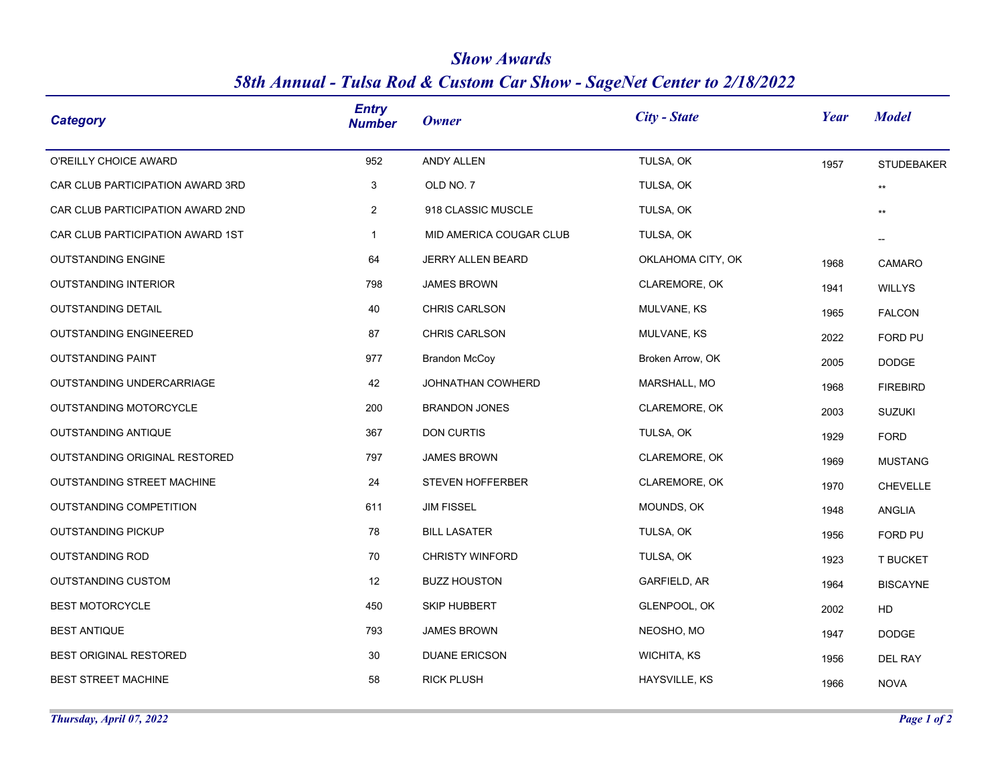| <b>Category</b>                  | <b>Entry</b><br><b>Number</b> | <b>Owner</b>            | City - State       | Year | <b>Model</b>      |
|----------------------------------|-------------------------------|-------------------------|--------------------|------|-------------------|
| O'REILLY CHOICE AWARD            | 952                           | ANDY ALLEN              | TULSA, OK          | 1957 | <b>STUDEBAKER</b> |
| CAR CLUB PARTICIPATION AWARD 3RD | 3                             | OLD NO. 7               | TULSA, OK          |      | $^{\star\star}$   |
| CAR CLUB PARTICIPATION AWARD 2ND | $\overline{2}$                | 918 CLASSIC MUSCLE      | TULSA, OK          |      | $^{\star\star}$   |
| CAR CLUB PARTICIPATION AWARD 1ST | $\mathbf{1}$                  | MID AMERICA COUGAR CLUB | TULSA, OK          |      |                   |
| <b>OUTSTANDING ENGINE</b>        | 64                            | JERRY ALLEN BEARD       | OKLAHOMA CITY, OK  | 1968 | CAMARO            |
| <b>OUTSTANDING INTERIOR</b>      | 798                           | <b>JAMES BROWN</b>      | CLAREMORE, OK      | 1941 | <b>WILLYS</b>     |
| <b>OUTSTANDING DETAIL</b>        | 40                            | CHRIS CARLSON           | MULVANE, KS        | 1965 | <b>FALCON</b>     |
| <b>OUTSTANDING ENGINEERED</b>    | 87                            | CHRIS CARLSON           | MULVANE, KS        | 2022 | FORD PU           |
| <b>OUTSTANDING PAINT</b>         | 977                           | <b>Brandon McCoy</b>    | Broken Arrow, OK   | 2005 | <b>DODGE</b>      |
| OUTSTANDING UNDERCARRIAGE        | 42                            | JOHNATHAN COWHERD       | MARSHALL, MO       | 1968 | <b>FIREBIRD</b>   |
| OUTSTANDING MOTORCYCLE           | 200                           | <b>BRANDON JONES</b>    | CLAREMORE, OK      | 2003 | <b>SUZUKI</b>     |
| OUTSTANDING ANTIQUE              | 367                           | DON CURTIS              | TULSA, OK          | 1929 | <b>FORD</b>       |
| OUTSTANDING ORIGINAL RESTORED    | 797                           | <b>JAMES BROWN</b>      | CLAREMORE, OK      | 1969 | <b>MUSTANG</b>    |
| OUTSTANDING STREET MACHINE       | 24                            | STEVEN HOFFERBER        | CLAREMORE, OK      | 1970 | <b>CHEVELLE</b>   |
| OUTSTANDING COMPETITION          | 611                           | <b>JIM FISSEL</b>       | MOUNDS, OK         | 1948 | ANGLIA            |
| <b>OUTSTANDING PICKUP</b>        | 78                            | <b>BILL LASATER</b>     | TULSA, OK          | 1956 | FORD PU           |
| <b>OUTSTANDING ROD</b>           | 70                            | <b>CHRISTY WINFORD</b>  | TULSA, OK          | 1923 | T BUCKET          |
| <b>OUTSTANDING CUSTOM</b>        | 12                            | <b>BUZZ HOUSTON</b>     | GARFIELD, AR       | 1964 | <b>BISCAYNE</b>   |
| <b>BEST MOTORCYCLE</b>           | 450                           | <b>SKIP HUBBERT</b>     | GLENPOOL, OK       | 2002 | HD                |
| <b>BEST ANTIQUE</b>              | 793                           | <b>JAMES BROWN</b>      | NEOSHO, MO         | 1947 | <b>DODGE</b>      |
| BEST ORIGINAL RESTORED           | 30                            | <b>DUANE ERICSON</b>    | <b>WICHITA, KS</b> | 1956 | <b>DEL RAY</b>    |
| <b>BEST STREET MACHINE</b>       | 58                            | <b>RICK PLUSH</b>       | HAYSVILLE, KS      | 1966 | <b>NOVA</b>       |

## *Show Awards 58th Annual - Tulsa Rod & Custom Car Show - SageNet Center to 2/18/2022*